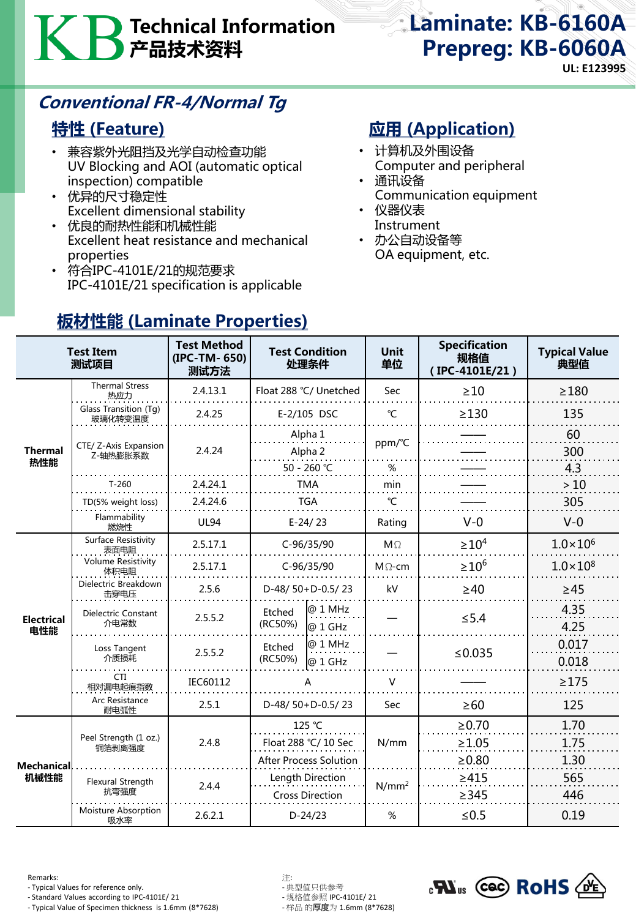# Technical Information 产品技术资料

# Laminate: KB-6160A Prepreg: KB-6060A

**UL: E123995**

### Conventional FR-4/Normal Tg

#### 特性 (Feature)

- 兼容紫外光阻挡及光学自动检查功能 UV Blocking and AOI (automatic optical inspection) compatible
- 优异的尺寸稳定性 Excellent dimensional stability
- 优良的耐热性能和机械性能 Excellent heat resistance and mechanical properties
- 符合IPC-4101E/21的规范要求 IPC-4101E/21 specification is applicable

### **应用 (Application)**

- 计算机及外围设备 Computer and peripheral
- 通讯设备 Communication equipment
- 仪器仪表 Instrument
- 办公自动设备等 OA equipment, etc.

| <b>Test Item</b><br>测试项目 |                                    | <b>Test Method</b><br>(IPC-TM-650)<br>测试方法 | <b>Test Condition</b><br>处理条件              |                    | <b>Unit</b><br>单位 | <b>Specification</b><br>规格值<br>(IPC-4101E/21) | <b>Typical Value</b><br>典型值 |
|--------------------------|------------------------------------|--------------------------------------------|--------------------------------------------|--------------------|-------------------|-----------------------------------------------|-----------------------------|
| <b>Thermal</b><br>热性能    | <b>Thermal Stress</b><br>热应力       | 2.4.13.1                                   | Float 288 °C/ Unetched                     |                    | <b>Sec</b>        | >10                                           | $\geq$ 180                  |
|                          | Glass Transition (Tg)<br>玻璃化转变温度   | 2.4.25                                     | E-2/105 DSC                                |                    | $\mathrm{C}$      | $\geq$ 130                                    | 135                         |
|                          | CTE/ Z-Axis Expansion<br>Z-轴热膨胀系数  | 2.4.24                                     | Alpha 1<br>Alpha 2                         |                    | ppm/°C            |                                               | 60<br>300                   |
|                          |                                    |                                            | 50 - 260 ℃                                 |                    | $\%$              |                                               | 4.3                         |
|                          | $T-260$                            | 2.4.24.1                                   | TMA                                        |                    | min               |                                               | >10                         |
|                          | TD(5% weight loss)                 | 2.4.24.6                                   | <b>TGA</b>                                 |                    | $\mathcal{C}$     |                                               | 305                         |
|                          | Flammability<br>燃烧性                | <b>UL94</b>                                | $E-24/23$                                  |                    | Rating            | $V - 0$                                       | $V-0$                       |
| <b>Electrical</b><br>电性能 | Surface Resistivity<br>表面电阻        | 2.5.17.1                                   | $C-96/35/90$                               |                    | $M\Omega$         | $\geq 10^4$                                   | $1.0 \times 10^{6}$         |
|                          | <b>Volume Resistivity</b><br>体积电阻  | 2.5.17.1                                   | $C-96/35/90$                               |                    | $M\Omega$ -cm     | $\geq 10^6$                                   | $1.0 \times 10^{8}$         |
|                          | Dielectric Breakdown<br>击穿电压       | 2.5.6                                      | D-48/50+D-0.5/23                           |                    | kV                | $\geq 40$                                     | $\geq 45$                   |
|                          | <b>Dielectric Constant</b><br>介电常数 | 2.5.5.2                                    | Etched<br>(RC50%)                          | @ 1 MHz<br>@ 1 GHz |                   | $\leq$ 5.4                                    | 4.35<br>4.25                |
|                          | Loss Tangent<br>介质损耗               | 2.5.5.2                                    | Etched<br>(RC50%)                          | @ 1 MHz<br>@ 1 GHz |                   | ≤0.035                                        | 0.017<br>0.018              |
|                          | CTI<br>相对漏电起痕指数                    | IEC60112                                   | А                                          |                    | $\vee$            |                                               | $\geq$ 175                  |
|                          | Arc Resistance<br>耐电弧性             | 2.5.1                                      | D-48/ $50+D-0.5/23$                        |                    | Sec               | $\geq 60$                                     | 125                         |
| Mechanical<br>机械性能       | Peel Strength (1 oz.)<br>铜箔剥离强度    | 2.4.8                                      | 125 °C                                     |                    | N/mm              | $\ge 0.70$                                    | 1.70                        |
|                          |                                    |                                            | Float 288 °C/ 10 Sec                       |                    |                   | $\geq 1.05$                                   | 1.75                        |
|                          |                                    |                                            | <b>After Process Solution</b>              |                    |                   | $\geq 0.80$                                   | 1.30                        |
|                          | Flexural Strength<br>抗弯强度          | 2.4.4                                      | Length Direction<br><b>Cross Direction</b> |                    | $N/mm^2$          | $\geq 415$<br>$\geq$ 345                      | 565<br>446                  |
|                          | Moisture Absorption<br>吸水率         | 2.6.2.1                                    | $D-24/23$                                  |                    | %                 | $\leq 0.5$                                    | 0.19                        |

### 板材性能 (Laminate Properties)

Remarks: 注:

- Typical Values for reference only.<br>- Standard Values according to IPC-4101E/ 21 - 规格值参照 IPC-4101E/ 21

- Standard Values according to IPC-4101E/ 21 - 规格值参照 IPC-4101E/ 21 - Typical Value of Specimen thickness is 1.6mm (8\*7628)

 $_{c}$ N<sub>us</sub> (cec) RoHS  $\sqrt{M}$